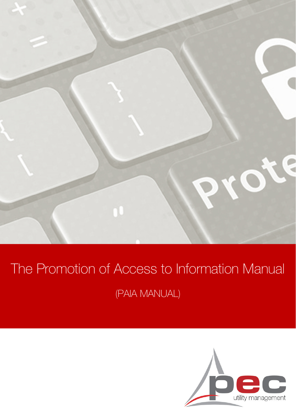

# The Promotion of Access to Information Manual (PAIA MANUAL)

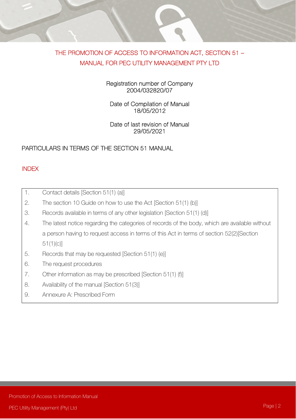# THE PROMOTION OF ACCESS TO INFORMATION ACT, SECTION 51 – MANUAL FOR PEC UTILITY MANAGEMENT PTY LTD

#### Registration number of Company 2004/032820/07

# Date of Compilation of Manual 18/05/2012

#### Date of last revision of Manual 29/05/2021

# PARTICULARS IN TERMS OF THE SECTION 51 MANUAL

# INDEX

| 1. | Contact details [Section 51(1) (a)]                                                            |
|----|------------------------------------------------------------------------------------------------|
| 2. | The section 10 Guide on how to use the Act [Section 51(1) (b)]                                 |
| 3. | Records available in terms of any other legislation [Section 51(1) (d)]                        |
| 4. | The latest notice regarding the categories of records of the body, which are available without |
|    | a person having to request access in terms of this Act in terms of section 52(2) [Section      |
|    | 51(1)(c)                                                                                       |
| 5. | Records that may be requested [Section 51(1) (e)]                                              |
| 6. | The request procedures                                                                         |
| 7. | Other information as may be prescribed [Section 51(1) (f)]                                     |
| 8. | Availability of the manual [Section 51(3)]                                                     |
| 9. | Annexure A: Prescribed Form                                                                    |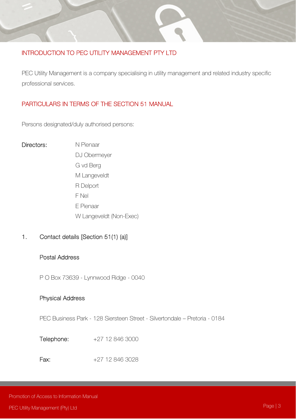# INTRODUCTION TO PEC UTILITY MANAGEMENT PTY LTD

PEC Utility Management is a company specialising in utility management and related industry specific professional services.

# PARTICULARS IN TERMS OF THE SECTION 51 MANUAL

Persons designated/duly authorised persons:

#### Directors: N Pienaar

 DJ Obermeyer G vd Berg M Langeveldt R Delport F Nel E Pienaar W Langeveldt (Non-Exec)

# 1. Contact details [Section 51(1) (a)]

#### Postal Address

P O Box 73639 - Lynnwood Ridge - 0040

#### Physical Address

PEC Business Park - 128 Siersteen Street - Silvertondale – Pretoria - 0184

- Telephone: +27 12 846 3000
- Fax: +27 12 846 3028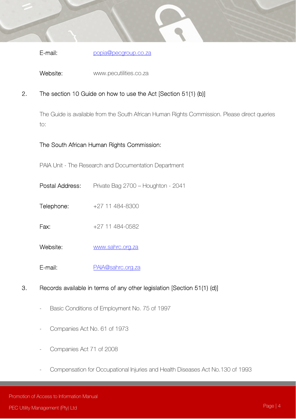E-mail: popia@pecgroup.co.za

Website: www.pecutilities.co.za

# 2. The section 10 Guide on how to use the Act [Section 51(1) (b)]

The Guide is available from the South African Human Rights Commission. Please direct queries to:

# The South African Human Rights Commission:

PAIA Unit - The Research and Documentation Department

- Postal Address: Private Bag 2700 Houghton 2041
- Telephone: +27 11 484-8300
- **Fax:**  $+27$  11 484-0582
- Website: www.sahrc.org.za
- E-mail: PAIA@sahrc.org.za
- 3. Records available in terms of any other legislation [Section 51(1) (d)]
	- Basic Conditions of Employment No. 75 of 1997
	- Companies Act No. 61 of 1973
	- Companies Act 71 of 2008
	- Compensation for Occupational Injuries and Health Diseases Act No.130 of 1993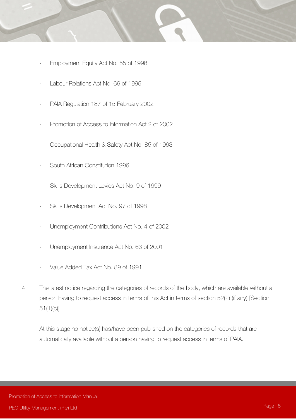- - Employment Equity Act No. 55 of 1998
	- Labour Relations Act No. 66 of 1995
	- PAIA Regulation 187 of 15 February 2002
	- Promotion of Access to Information Act 2 of 2002
	- Occupational Health & Safety Act No. 85 of 1993
	- South African Constitution 1996
	- Skills Development Levies Act No. 9 of 1999
	- Skills Development Act No. 97 of 1998
	- Unemployment Contributions Act No. 4 of 2002
	- Unemployment Insurance Act No. 63 of 2001
	- Value Added Tax Act No. 89 of 1991
	- 4. The latest notice regarding the categories of records of the body, which are available without a person having to request access in terms of this Act in terms of section 52(2) (if any) [Section 51(1)(c)]

At this stage no notice(s) has/have been published on the categories of records that are automatically available without a person having to request access in terms of PAIA.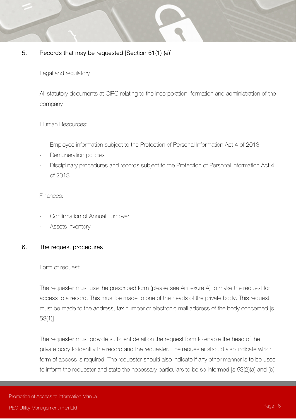# 5. Records that may be requested [Section 51(1) (e)]

Legal and regulatory

All statutory documents at CIPC relating to the incorporation, formation and administration of the company

Human Resources:

- Employee information subject to the Protection of Personal Information Act 4 of 2013
- Remuneration policies
- Disciplinary procedures and records subject to the Protection of Personal Information Act 4 of 2013

Finances:

- Confirmation of Annual Turnover
- Assets inventory

# 6. The request procedures

#### Form of request:

The requester must use the prescribed form (please see Annexure A) to make the request for access to a record. This must be made to one of the heads of the private body. This request must be made to the address, fax number or electronic mail address of the body concerned [s 53(1)].

The requester must provide sufficient detail on the request form to enable the head of the private body to identify the record and the requester. The requester should also indicate which form of access is required. The requester should also indicate if any other manner is to be used to inform the requester and state the necessary particulars to be so informed [s 53(2)(a) and (b)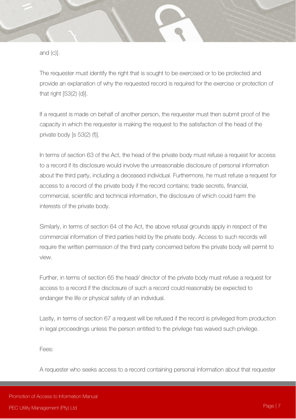and (c)].

The requester must identify the right that is sought to be exercised or to be protected and provide an explanation of why the requested record is required for the exercise or protection of that right [53(2) (d)].

If a request is made on behalf of another person, the requester must then submit proof of the capacity in which the requester is making the request to the satisfaction of the head of the private body [s 53(2) (f)].

In terms of section 63 of the Act, the head of the private body must refuse a request for access to a record if its disclosure would involve the unreasonable disclosure of personal information about the third party, including a deceased individual. Furthermore, he must refuse a request for access to a record of the private body if the record contains; trade secrets, financial, commercial, scientific and technical information, the disclosure of which could harm the interests of the private body.

Similarly, in terms of section 64 of the Act, the above refusal grounds apply in respect of the commercial information of third parties held by the private body. Access to such records will require the written permission of the third party concerned before the private body will permit to view.

Further, in terms of section 65 the head/ director of the private body must refuse a request for access to a record if the disclosure of such a record could reasonably be expected to endanger the life or physical safety of an individual.

Lastly, in terms of section 67 a request will be refused if the record is privileged from production in legal proceedings unless the person entitled to the privilege has waived such privilege.

Fees:

A requester who seeks access to a record containing personal information about that requester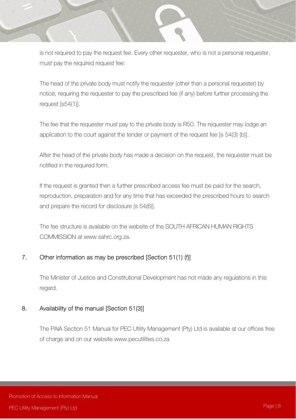is not required to pay the request fee. Every other requester, who is not a personal requester, must pay the required request fee:

The head of the private body must notify the requester (other than a personal requester) by notice, requiring the requester to pay the prescribed fee (if any) before further processing the request [s54(1)].

The fee that the requester must pay to the private body is R50. The requester may lodge an application to the court against the tender or payment of the request fee [s 54(3) (b)].

After the head of the private body has made a decision on the request, the requester must be notified in the required form.

If the request is granted then a further prescribed access fee must be paid for the search, reproduction, preparation and for any time that has exceeded the prescribed hours to search and prepare the record for disclosure [s 54(6)].

The fee structure is available on the website of the SOUTH AFRICAN HUMAN RIGHTS COMMISSION at www.sahrc.org.za.

# 7. Other information as may be prescribed [Section 51(1) (f)]

The Minister of Justice and Constitutional Development has not made any regulations in this regard.

# 8. Availability of the manual [Section 51(3)]

The PAIA Section 51 Manual for PEC Utility Management (Pty) Ltd is available at our offices free of charge and on our website www.pecutilities.co.za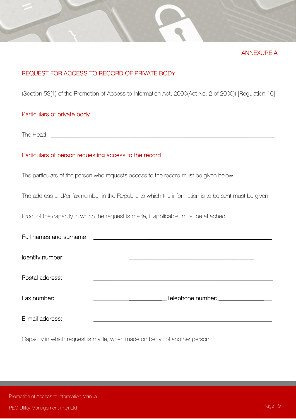

# REQUEST FOR ACCESS TO RECORD OF PRIVATE BODY

(Section 53(1) of the Promotion of Access to Information Act, 2000(Act No. 2 of 2000)) [Regulation 10]

#### Particulars of private body

The Head: with the state of  $\overline{a}$  is the state of  $\overline{a}$  is the state of  $\overline{a}$ 

#### Particulars of person requesting access to the record

The particulars of the person who requests access to the record must be given below.

The address and/or fax number in the Republic to which the information is to be sent must be given.

Proof of the capacity in which the request is made, if applicable, must be attached.

| Full names and surname: |                             |
|-------------------------|-----------------------------|
| Identity number:        |                             |
| Postal address:         |                             |
| Fax number:             | _Telephone number:_________ |
| E-mail address:         |                             |

\_\_\_\_\_\_\_\_\_\_\_\_\_\_\_\_\_\_\_\_\_\_\_\_\_\_\_\_\_\_\_\_\_\_\_\_\_\_\_\_\_\_\_\_\_\_\_\_\_\_\_\_\_\_\_\_\_\_\_\_\_\_\_\_\_\_\_\_\_\_\_\_\_\_\_\_\_\_\_\_\_\_\_\_

Capacity in which request is made, when made on behalf of another person: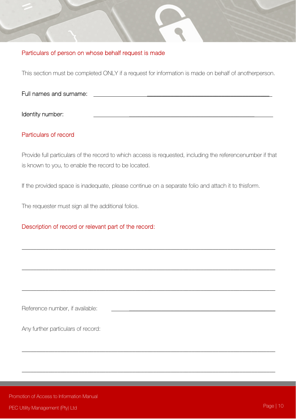# Particulars of person on whose behalf request is made

This section must be completed ONLY if a request for information is made on behalf of anotherperson.

| Full names and surname: |  |  |
|-------------------------|--|--|
|                         |  |  |
| Identity number:        |  |  |

# Particulars of record

Provide full particulars of the record to which access is requested, including the referencenumber if that is known to you, to enable the record to be located.

\_\_\_\_\_\_\_\_\_\_\_\_\_\_\_\_\_\_\_\_\_\_\_\_\_\_\_\_\_\_\_\_\_\_\_\_\_\_\_\_\_\_\_\_\_\_\_\_\_\_\_\_\_\_\_\_\_\_\_\_\_\_\_\_\_\_\_\_\_\_\_\_\_\_\_\_\_\_\_\_\_\_\_\_\_

\_\_\_\_\_\_\_\_\_\_\_\_\_\_\_\_\_\_\_\_\_\_\_\_\_\_\_\_\_\_\_\_\_\_\_\_\_\_\_\_\_\_\_\_\_\_\_\_\_\_\_\_\_\_\_\_\_\_\_\_\_\_\_\_\_\_\_\_\_\_\_\_\_\_\_\_\_\_\_\_\_\_\_\_\_

\_\_\_\_\_\_\_\_\_\_\_\_\_\_\_\_\_\_\_\_\_\_\_\_\_\_\_\_\_\_\_\_\_\_\_\_\_\_\_\_\_\_\_\_\_\_\_\_\_\_\_\_\_\_\_\_\_\_\_\_\_\_\_\_\_\_\_\_\_\_\_\_\_\_\_\_\_\_\_\_\_\_\_\_\_

\_\_\_\_\_\_\_\_\_\_\_\_\_\_\_\_\_\_\_\_\_\_\_\_\_\_\_\_\_\_\_\_\_\_\_\_\_\_\_\_\_\_\_\_\_\_\_\_\_\_\_\_\_\_\_\_\_\_\_\_\_\_\_\_\_\_\_\_\_\_\_\_\_\_\_\_\_\_\_\_\_\_\_\_\_

\_\_\_\_\_\_\_\_\_\_\_\_\_\_\_\_\_\_\_\_\_\_\_\_\_\_\_\_\_\_\_\_\_\_\_\_\_\_\_\_\_\_\_\_\_\_\_\_\_\_\_\_\_\_\_\_\_\_\_\_\_\_\_\_\_\_\_\_\_\_\_\_\_\_\_\_\_\_\_\_\_\_\_\_\_

If the provided space is inadequate, please continue on a separate folio and attach it to thisform.

The requester must sign all the additional folios.

# Description of record or relevant part of the record:

Reference number, if available:

Any further particulars of record: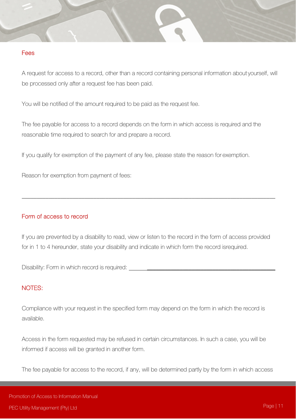#### Fees

A request for access to a record, other than a record containing personal information about yourself, will be processed only after a request fee has been paid.

You will be notified of the amount required to be paid as the request fee.

The fee payable for access to a record depends on the form in which access is required and the reasonable time required to search for and prepare a record.

If you qualify for exemption of the payment of any fee, please state the reason for exemption.

Reason for exemption from payment of fees:

## Form of access to record

If you are prevented by a disability to read, view or listen to the record in the form of access provided for in 1 to 4 hereunder, state your disability and indicate in which form the record is required.

\_\_\_\_\_\_\_\_\_\_\_\_\_\_\_\_\_\_\_\_\_\_\_\_\_\_\_\_\_\_\_\_\_\_\_\_\_\_\_\_\_\_\_\_\_\_\_\_\_\_\_\_\_\_\_\_\_\_\_\_\_\_\_\_\_\_\_\_\_\_\_\_\_\_\_\_\_\_\_\_\_\_\_\_\_

Disability: Form in which record is required:

#### NOTES:

Compliance with your request in the specified form may depend on the form in which the record is available.

Access in the form requested may be refused in certain circumstances. In such a case, you will be informed if access will be granted in another form.

The fee payable for access to the record, if any, will be determined partly by the form in which access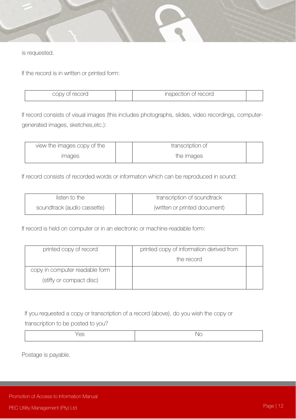

is requested.

If the record is in written or printed form:

| $\sim$ $\sim$ $\sim$ $\sim$<br>$\mathcal{M}$<br>DIU. | record<br>inspection o<br>JUGCIJIO I I<br>◡╵ |  |
|------------------------------------------------------|----------------------------------------------|--|
|                                                      |                                              |  |

If record consists of visual images (this includes photographs, slides, video recordings, computergenerated images, sketches, etc.):

| view the images copy of the | transcription of |  |
|-----------------------------|------------------|--|
| <i>images</i>               | the images       |  |

If record consists of recorded words or information which can be reproduced in sound:

| listen to the               | transcription of soundtrack   |  |
|-----------------------------|-------------------------------|--|
| soundtrack (audio cassette) | (written or printed document) |  |

If record is held on computer or in an electronic or machine-readable form:

| printed copy of record         | printed copy of information derived from |  |
|--------------------------------|------------------------------------------|--|
|                                | the record                               |  |
| copy in computer readable form |                                          |  |
| (stiffy or compact disc)       |                                          |  |

If you requested a copy or transcription of a record (above), do you wish the copy or

transcription to be posted to you?

| M |
|---|

Postage is payable.